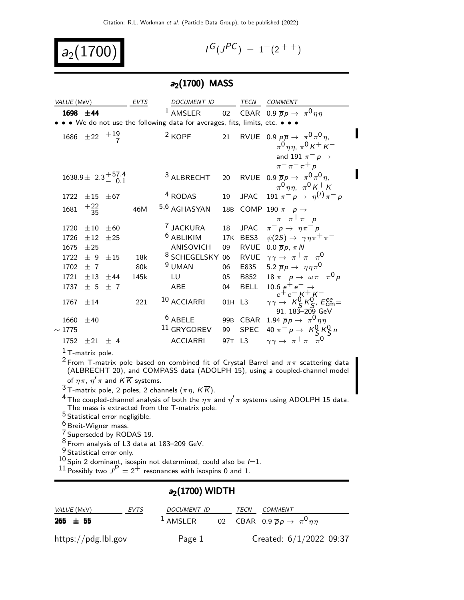$$
a_2(1700) \qquad \qquad
$$

$$
I^G(J^{PC}) = 1^-(2^{++})
$$

## $a_2(1700)$  MASS

| VALUE (MeV) |                              |                                    | <b>EVTS</b> | DOCUMENT ID                                                                 |                 | TECN        | <b>COMMENT</b>                                                                                                                            |
|-------------|------------------------------|------------------------------------|-------------|-----------------------------------------------------------------------------|-----------------|-------------|-------------------------------------------------------------------------------------------------------------------------------------------|
| 1698 ±44    |                              |                                    |             | <sup>1</sup> AMSLER                                                         |                 |             | 02 CBAR 0.9 $\overline{p}p \rightarrow \pi^0 \eta \eta$                                                                                   |
|             |                              |                                    |             | • • We do not use the following data for averages, fits, limits, etc. • • • |                 |             |                                                                                                                                           |
|             | 1686 $\pm 22 + \frac{19}{7}$ |                                    |             | $2$ KOPF                                                                    | 21              |             | RVUE 0.9 $p\overline{p} \rightarrow \pi^0 \pi^0 \eta$ ,<br>$\pi^{0}$ $\eta\eta$ , $\pi^{0}$ K + K –<br>and 191 $\pi^ p \rightarrow$       |
|             |                              | $1638.9 \pm 2.3 \frac{+57.4}{0.1}$ |             | <sup>3</sup> ALBRECHT                                                       | 20              |             | $\pi^ \pi^ \pi^+$ p<br>RVUE 0.9 $\overline{p}p \rightarrow \pi^0 \pi^0 \eta$ ,<br>$\pi^0$ nn, $\pi^0$ K <sup>+</sup> K <sup>-</sup>       |
| 1722        | ±15                          | $\pm 67$                           |             | <sup>4</sup> RODAS                                                          | 19              |             | JPAC 191 $\pi^- p \to \eta^{(1)} \pi^- p$                                                                                                 |
| 1681        | $^{+22}_{-35}$               |                                    | 46M         | 5,6 AGHASYAN                                                                | 18 <sub>B</sub> |             | COMP 190 $\pi^-$ p $\rightarrow$<br>$\pi$ <sup>-</sup> $\pi$ <sup>+</sup> $\pi$ <sup>-</sup> $p$                                          |
| 1720        | $\pm 10$                     | $+60$                              |             | <sup>7</sup> JACKURA                                                        | 18              | <b>JPAC</b> | $\pi^- p \rightarrow \eta \pi^- p$                                                                                                        |
| 1726        | ±12                          | ±25                                |             | <sup>6</sup> ABLIKIM                                                        | 17K             |             | BES3 $\psi(2S) \rightarrow \gamma \eta \pi^+ \pi^-$                                                                                       |
| 1675        | ±25                          |                                    |             | ANISOVICH                                                                   | 09              |             | RVUE 0.0 $\overline{p}p$ , $\pi N$                                                                                                        |
| 1722        | ± 9                          | $+15$                              | 18k         | <sup>8</sup> SCHEGELSKY                                                     | 06              |             | RVUE $\gamma \gamma \rightarrow \pi^+ \pi^- \pi^0$                                                                                        |
| 1702        | $+7$                         |                                    | 80k         | <sup>9</sup> UMAN                                                           | 06              |             | E835 5.2 $\overline{p}p \rightarrow \eta \eta \pi^0$                                                                                      |
| 1721        | $+13 +44$                    |                                    | 145k        | LU                                                                          | 05              |             | B852 18 $\pi^- p \to \omega \pi^- \pi^0 p$                                                                                                |
| 1737        | ± 5                          | $+7$                               |             | <b>ABE</b>                                                                  | 04              | <b>BELL</b> |                                                                                                                                           |
| 1767        | ±14                          |                                    | 221         | 10 ACCIARRI                                                                 | 01H L3          |             | 10.6 $e^+e^- \rightarrow$<br>$e^+e^- K^+ K^-$<br>$\gamma \gamma \rightarrow K_S^0 K_S^0$ , $E_{\text{cm}}^{\text{ee}}$<br>91, 183–209 GeV |
| 1660        | ±40                          |                                    |             | $6$ ABELE                                                                   |                 | 99B CBAR    | 1.94 $\overline{p}p \rightarrow \pi^0 \eta \eta$                                                                                          |
| $\sim$ 1775 |                              |                                    |             | $11$ GRYGOREV                                                               | 99              |             | SPEC 40 $\pi^- p \to K^0_S K^0_S n$                                                                                                       |
| 1752        | $\pm 21 \pm 4$               |                                    |             | <b>ACCIARRI</b>                                                             | 97T             | L3          | $\gamma \gamma \rightarrow \pi^+ \pi^- \pi^0$                                                                                             |
|             | $1$ T-matrix pole.           |                                    |             |                                                                             |                 |             |                                                                                                                                           |

 $^2$ From T-matrix pole based on combined fit of Crystal Barrel and  $\pi\pi$  scattering data (ALBRECHT 20), and COMPASS data (ADOLPH 15), using a coupled-channel model of  $\eta \pi$ ,  $\eta' \pi$  and  $\overline{K}$  systems.

 $3$ T-matrix pole, 2 poles, 2 channels ( $\pi \eta$ ,  $K \overline{K}$ ).

<sup>4</sup> The coupled-channel analysis of both the  $\eta \pi$  and  $\eta' \pi$  systems using ADOLPH 15 data. The mass is extracted from the T-matrix pole.

5 Statistical error negligible.

<sup>6</sup> Breit-Wigner mass.

7 Superseded by RODAS 19.

 $^8$  From analysis of L3 data at 183–209 GeV.

9 Statistical error only.

 $10$  Spin 2 dominant, isospin not determined, could also be  $l=1$ .

 $^{11}$  Possibly two  $J^P=2^+$  resonances with isospins 0 and 1.

### $a_2(1700)$  WIDTH

| <i>VALUE</i> (MeV)<br>EVTS     | <i>DOCUMENT ID</i> | <i>TECN COMMENT</i>                                                         |
|--------------------------------|--------------------|-----------------------------------------------------------------------------|
| $265 \pm 55$                   |                    | <sup>1</sup> AMSLER 02 CBAR 0.9 $\overline{p}p \rightarrow \pi^0 \eta \eta$ |
| $\frac{https://pdg.1b1.gov}{%$ | Page 1             | Created: $6/1/2022$ 09:37                                                   |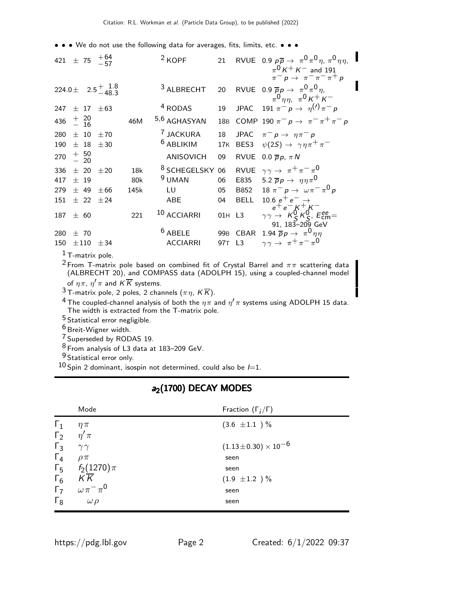• • • We do not use the following data for averages, fits, limits, etc. • • •

|     |                |                  | 421 $\pm$ 75 $^{+64}_{-57}$ |      | $2$ KOPF                | 21              |                | RVUE 0.9 $p\overline{p} \rightarrow \pi^0 \pi^0 \eta$ , $\pi^0 \eta \eta$ ,<br>$\pi^{0} K^{+} K^{-}$ and 191<br>$\pi^- p \rightarrow \pi^- \pi^- \pi^+ p$ |
|-----|----------------|------------------|-----------------------------|------|-------------------------|-----------------|----------------|-----------------------------------------------------------------------------------------------------------------------------------------------------------|
|     |                |                  | 224.0 ± 2.5 $^{+}$ 1.8      |      | <sup>3</sup> ALBRECHT   | 20              |                | RVUE 0.9 $\overline{p}p \rightarrow \pi^0 \pi^0 \eta$ ,<br>$\pi^0 \eta \eta$ , $\pi^0 K^+ K^-$                                                            |
| 247 |                | $+$ 17           | ±63                         |      | <sup>4</sup> RODAS      | 19              |                | JPAC 191 $\pi^{-} p \to \eta^{(1)} \pi^{-} p$                                                                                                             |
| 436 |                | $+ 20$<br>$- 16$ |                             | 46M  | 5,6 AGHASYAN            | 18 <sub>B</sub> |                | COMP 190 $\pi^- p \to \pi^- \pi^+ \pi^- p$                                                                                                                |
| 280 |                | $+10$            | ±70                         |      | <sup>7</sup> JACKURA    | 18              |                | JPAC $\pi^- p \to \eta \pi^- p$                                                                                                                           |
| 190 |                | $±$ 18           | ±30                         |      | $6$ ABLIKIM             | 17K             |                | BES3 $\psi(2S) \rightarrow \gamma \eta \pi^+ \pi^-$                                                                                                       |
| 270 | $+50$<br>$-20$ |                  |                             |      | <b>ANISOVICH</b>        | 09              | RVUE           | 0.0 $\overline{p}p$ , $\pi N$                                                                                                                             |
| 336 |                | $+20$            | $+20$                       | 18k  | <sup>8</sup> SCHEGELSKY | 06              |                | RVUE $\gamma \gamma \rightarrow \pi^+ \pi^- \pi^0$                                                                                                        |
| 417 |                | $+19$            |                             | 80k  | <sup>9</sup> UMAN       | 06              | E835           | 5.2 $\overline{p}p \rightarrow \eta \eta \pi^0$                                                                                                           |
| 279 |                | $±$ 49           | $\pm 66$                    | 145k | LU                      | 05              | B852           | $18 \pi^{-} p \rightarrow \omega \pi^{-} \pi^{0} p$                                                                                                       |
| 151 |                | $±$ 22           | ±24                         |      | <b>ABE</b>              | 04              | <b>BELL</b>    |                                                                                                                                                           |
| 187 | ± 60           |                  |                             | 221  | 10 ACCIARRI             |                 | 01H L3         | 10.6 $e^+e^- \rightarrow$<br>$e^+e^- K^+ K^-$<br>$\gamma\gamma \rightarrow K^0_S K^0_S$ , $E_{\rm cm}^{\rm ee}$<br>$91, 183 - 209$ GeV                    |
| 280 | ±70            |                  |                             |      | $6$ ABELE               |                 | 99B CBAR       | 1.94 $\overline{p}p \rightarrow \pi^0 \eta \eta$                                                                                                          |
| 150 |                | $\pm 110$        | ± 34                        |      | <b>ACCIARRI</b>         | 97T             | L <sub>3</sub> | $\gamma \gamma \rightarrow \pi^+ \pi^- \pi^0$                                                                                                             |

 $1$  T-matrix pole.

 $^2$ From T-matrix pole based on combined fit of Crystal Barrel and  $\pi\pi$  scattering data (ALBRECHT 20), and COMPASS data (ADOLPH 15), using a coupled-channel model of  $\eta \pi$ ,  $\eta' \pi$  and  $\overline{K}$  systems.

 $3$  T-matrix pole, 2 poles, 2 channels  $(\pi \eta, K \overline{K})$ .

<sup>4</sup> The coupled-channel analysis of both the  $\eta \pi$  and  $\eta' \pi$  systems using ADOLPH 15 data. The width is extracted from the T-matrix pole.

5 Statistical error negligible.

6 Breit-Wigner width.

7 Superseded by RODAS 19.

8 From analysis of L3 data at 183–209 GeV.

9 Statistical error only.

 $10$  Spin 2 dominant, isospin not determined, could also be  $I=1$ .

|                  | Mode                      | Fraction $(\Gamma_i/\Gamma)$ |
|------------------|---------------------------|------------------------------|
| $\Gamma_1$       | $\eta \pi$                | $(3.6 \pm 1.1)$ %            |
| $\Gamma_2$       | $\eta' \pi$               |                              |
| $\Gamma_3$       | $\gamma\gamma$            | $(1.13\pm0.30)\times10^{-6}$ |
| $\Gamma_4$       | $\rho \pi$                | seen                         |
|                  | $\Gamma_5$ $f_2(1270)\pi$ | seen                         |
| $\Gamma_6$       | KK                        | $(1.9 \pm 1.2) \%$           |
| $\overline{r}_7$ | $\omega\,\pi^-\,\pi^0$    | seen                         |
| $\Gamma_8$       | $\omega \rho$             | seen                         |

# $a_2(1700)$  DECAY MODES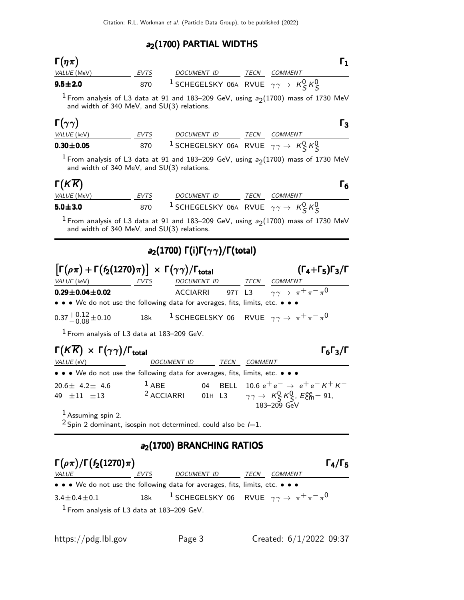#### $a_2(1700)$  PARTIAL WIDTHS

| $\Gamma(\eta\pi)$  |      |                                                                                            |      |                |  |
|--------------------|------|--------------------------------------------------------------------------------------------|------|----------------|--|
| <i>VALUE</i> (MeV) | EVTS | DOCUMENT ID                                                                                | TECN | <i>COMMENT</i> |  |
| $9.5 \pm 2.0$      | 870  | <sup>1</sup> SCHEGELSKY 06A RVUE $\gamma\gamma\rightarrow K$ <sub>S</sub> $K$ <sub>S</sub> |      |                |  |

<sup>1</sup> From analysis of L3 data at 91 and 183–209 GeV, using  $a_2(1700)$  mass of 1730 MeV and width of 340 MeV, and SU(3) relations.

| $\Gamma(\gamma\gamma)$ |             |                                                                         |      |                | Г3 |
|------------------------|-------------|-------------------------------------------------------------------------|------|----------------|----|
| <i>VALUE</i> (keV)     | <b>EVTS</b> | <i>DOCUMENT ID</i>                                                      | TECN | <i>COMMENT</i> |    |
| $0.30 \pm 0.05$        | 870         | <sup>1</sup> SCHEGELSKY 06A RVUE $\gamma\gamma \rightarrow K_S^0 K_S^0$ |      |                |    |

<sup>1</sup> From analysis of L3 data at 91 and 183–209 GeV, using  $a_2(1700)$  mass of 1730 MeV and width of 340 MeV, and SU(3) relations.

# $\Gamma(K\overline{K})$

| $\Gamma(K\overline{K})$ |             |                                                                         |      |         |  |
|-------------------------|-------------|-------------------------------------------------------------------------|------|---------|--|
| <i>VALUE</i> (MeV)      | <b>EVTS</b> | DOCUMENT ID                                                             | TECN | COMMENT |  |
| $5.0 \pm 3.0$           | 870         | <sup>1</sup> SCHEGELSKY 06A RVUE $\gamma\gamma \rightarrow K_S^0 K_S^0$ |      |         |  |

<sup>1</sup> From analysis of L3 data at 91 and 183–209 GeV, using  $a_2(1700)$  mass of 1730 MeV and width of 340 MeV, and SU(3) relations.

### a<sub>2</sub>(1700) Γ(i)Γ( $\gamma \gamma$ )/Γ(total)

| $\left[\Gamma(\rho\pi) + \Gamma(f_2(1270)\pi)\right] \times \Gamma(\gamma\gamma)/\Gamma_{\text{total}}$ |      |             |      | $(\Gamma_4+\Gamma_5)\Gamma_3/\Gamma$                                              |
|---------------------------------------------------------------------------------------------------------|------|-------------|------|-----------------------------------------------------------------------------------|
| <i>VALUE</i> (keV)                                                                                      | EVTS | DOCUMENT ID | TECN | COMMENT                                                                           |
| $0.29 \pm 0.04 \pm 0.02$                                                                                |      |             |      | ACCIARRI 97T L3 $\gamma \gamma \rightarrow \pi^+ \pi^- \pi^0$                     |
| • • • We do not use the following data for averages, fits, limits, etc. • • •                           |      |             |      |                                                                                   |
| $0.37 + 0.12 + 0.10$                                                                                    |      |             |      | 18k <sup>1</sup> SCHEGELSKY 06 RVUE $\gamma \gamma \rightarrow \pi^+ \pi^- \pi^0$ |

 $1$  From analysis of L3 data at 183–209 GeV.

# $\Gamma(K\overline{K}) \times \Gamma(\gamma\gamma)/\Gamma_{\text{total}}$  Γ<sub>6</sub>Γ<sub>3</sub>/Γ

 $\Gamma_6\Gamma_3/\Gamma$ VALUE (eV) DOCUMENT ID TECN COMMENT • • • We do not use the following data for averages, fits, limits, etc. • • •  $20.6 \pm 4.2 \pm 4.6$  $1$  ABE 04 BELL  $10.6 e^+ e^- \rightarrow e^+ e^- K^+ K^-$ 49  $\pm 11$   $\pm 13$  <sup>2</sup> ACCIARRI 01H L3  $\frac{0}{5}$  K $\frac{0}{5}$ , E $_{cm}^{ee}$  = 91, 183–209 GeV

1 Assuming spin 2.

 $2$  Spin 2 dominant, isospin not determined, could also be  $l=1$ .

#### a<sub>2</sub>(1700) BRANCHING RATIOS

| $\Gamma(\rho\pi)/\Gamma(f_2(1270)\pi)$ |             |                                                                               |      |         |  |  |  |
|----------------------------------------|-------------|-------------------------------------------------------------------------------|------|---------|--|--|--|
| <i>VALUE</i>                           | <i>EVTS</i> | <i>DOCUMENT ID</i>                                                            | TECN | COMMENT |  |  |  |
|                                        |             | • • • We do not use the following data for averages, fits, limits, etc. • • • |      |         |  |  |  |
| $3.4 \pm 0.4 \pm 0.1$                  | 18k         | <sup>1</sup> SCHEGELSKY 06 RVUE $\gamma\gamma \rightarrow \pi^+\pi^-\pi^0$    |      |         |  |  |  |
| $\mathbf{1}$ $\mathbf{r}$              |             | $\blacksquare$                                                                |      |         |  |  |  |

1 From analysis of L3 data at 183–209 GeV.